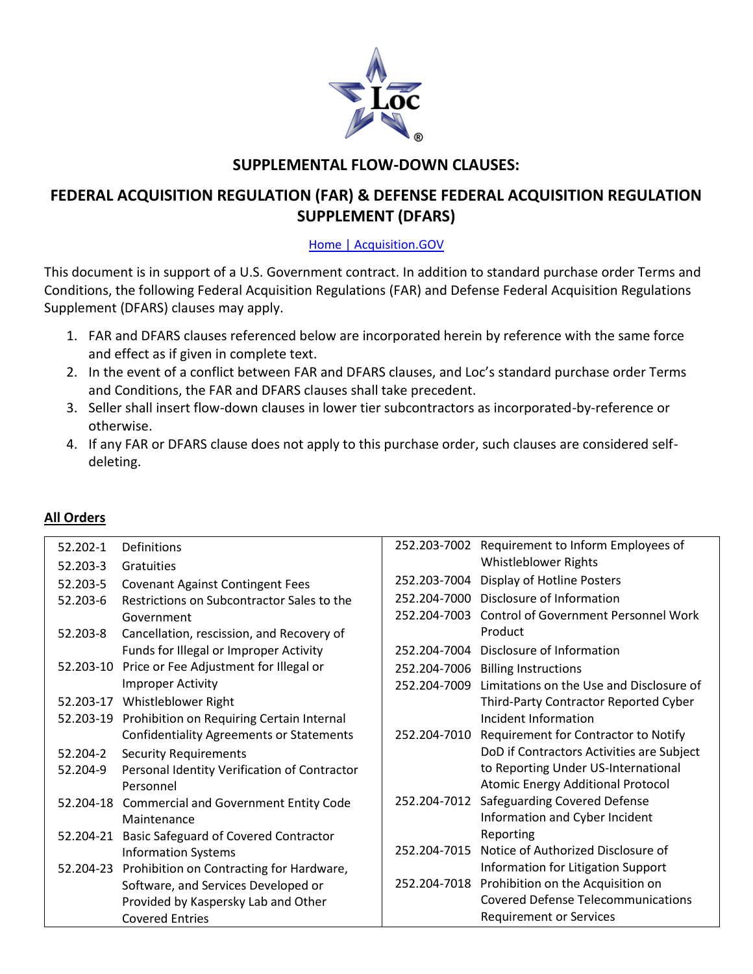

# **SUPPLEMENTAL FLOW-DOWN CLAUSES:**

# **FEDERAL ACQUISITION REGULATION (FAR) & DEFENSE FEDERAL ACQUISITION REGULATION SUPPLEMENT (DFARS)**

# [Home | Acquisition.GOV](https://www.acquisition.gov/)

This document is in support of a U.S. Government contract. In addition to standard purchase order Terms and Conditions, the following Federal Acquisition Regulations (FAR) and Defense Federal Acquisition Regulations Supplement (DFARS) clauses may apply.

- 1. FAR and DFARS clauses referenced below are incorporated herein by reference with the same force and effect as if given in complete text.
- 2. In the event of a conflict between FAR and DFARS clauses, and Loc's standard purchase order Terms and Conditions, the FAR and DFARS clauses shall take precedent.
- 3. Seller shall insert flow-down clauses in lower tier subcontractors as incorporated-by-reference or otherwise.
- 4. If any FAR or DFARS clause does not apply to this purchase order, such clauses are considered selfdeleting.

#### 52.202-1 Definitions 52.203-3 Gratuities 52.203-5 Covenant Against Contingent Fees 52.203-6 Restrictions on Subcontractor Sales to the Government 52.203-8 Cancellation, rescission, and Recovery of Funds for Illegal or Improper Activity 52.203-10 Price or Fee Adjustment for Illegal or Improper Activity 52.203-17 Whistleblower Right 52.203-19 Prohibition on Requiring Certain Internal Confidentiality Agreements or Statements 52.204-2 Security Requirements 52.204-9 Personal Identity Verification of Contractor Personnel 52.204-18 Commercial and Government Entity Code Maintenance 52.204-21 Basic Safeguard of Covered Contractor Information Systems 52.204-23 Prohibition on Contracting for Hardware, Software, and Services Developed or Provided by Kaspersky Lab and Other Covered Entries 252.203-7002 Requirement to Inform Employees of Whistleblower Rights 252.203-7004 Display of Hotline Posters 252.204-7000 Disclosure of Information 252.204-7003 Control of Government Personnel Work Product 252.204-7004 Disclosure of Information 252.204-7006 Billing Instructions 252.204-7009 Limitations on the Use and Disclosure of Third-Party Contractor Reported Cyber Incident Information 252.204-7010 Requirement for Contractor to Notify DoD if Contractors Activities are Subject to Reporting Under US-International Atomic Energy Additional Protocol 252.204-7012 Safeguarding Covered Defense Information and Cyber Incident Reporting 252.204-7015 Notice of Authorized Disclosure of Information for Litigation Support 252.204-7018 Prohibition on the Acquisition on Covered Defense Telecommunications Requirement or Services

# **All Orders**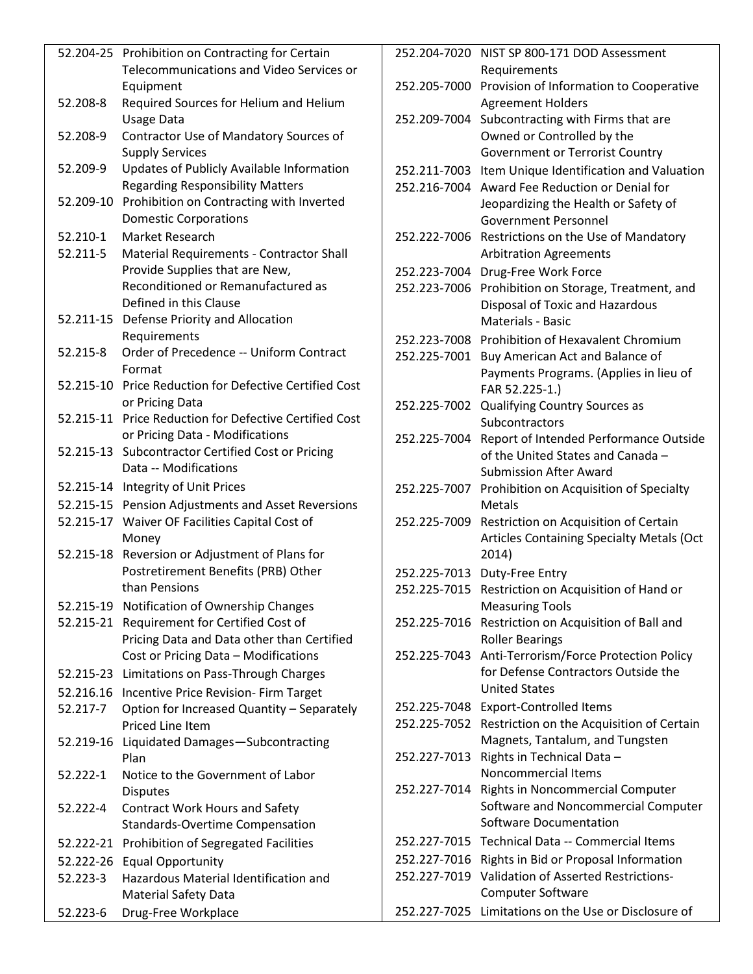| Telecommunications and Video Services or<br>Equipment<br>52.208-8<br>Required Sources for Helium and Helium<br><b>Usage Data</b><br>52.208-9<br>Contractor Use of Mandatory Sources of<br><b>Supply Services</b><br><b>Updates of Publicly Available Information</b><br>52.209-9<br><b>Regarding Responsibility Matters</b><br>Prohibition on Contracting with Inverted<br>52.209-10<br><b>Domestic Corporations</b><br><b>Market Research</b><br>52.210-1<br>52.211-5<br>Material Requirements - Contractor Shall<br>Provide Supplies that are New,<br>Reconditioned or Remanufactured as<br>Defined in this Clause<br>52.211-15 Defense Priority and Allocation<br>Requirements<br>Order of Precedence -- Uniform Contract<br>52.215-8<br>Format<br>Price Reduction for Defective Certified Cost<br>52.215-10<br>or Pricing Data<br>52.215-11 Price Reduction for Defective Certified Cost<br>or Pricing Data - Modifications<br>52.215-13<br><b>Subcontractor Certified Cost or Pricing</b><br>Data -- Modifications<br>52.215-14 Integrity of Unit Prices<br>52.215-15 Pension Adjustments and Asset Reversions<br>52.215-17<br>Waiver OF Facilities Capital Cost of<br>Money<br>52.215-18<br>Reversion or Adjustment of Plans for<br>Postretirement Benefits (PRB) Other<br>than Pensions<br>52.215-19 Notification of Ownership Changes<br>Requirement for Certified Cost of<br>52.215-21<br>Pricing Data and Data other than Certified<br>Cost or Pricing Data - Modifications<br>52.215-23<br>Limitations on Pass-Through Charges<br>52.216.16<br><b>Incentive Price Revision- Firm Target</b><br>52.217-7<br>Option for Increased Quantity - Separately<br>Priced Line Item<br>Liquidated Damages-Subcontracting<br>52.219-16<br>Plan<br>52.222-1<br>Notice to the Government of Labor<br><b>Disputes</b><br>52.222-4<br><b>Contract Work Hours and Safety</b><br><b>Standards-Overtime Compensation</b><br>Prohibition of Segregated Facilities<br>52.222-21<br>52.222-26<br><b>Equal Opportunity</b><br>Hazardous Material Identification and<br>52.223-3<br><b>Material Safety Data</b> |          | 52.204-25 Prohibition on Contracting for Certain |  |
|-----------------------------------------------------------------------------------------------------------------------------------------------------------------------------------------------------------------------------------------------------------------------------------------------------------------------------------------------------------------------------------------------------------------------------------------------------------------------------------------------------------------------------------------------------------------------------------------------------------------------------------------------------------------------------------------------------------------------------------------------------------------------------------------------------------------------------------------------------------------------------------------------------------------------------------------------------------------------------------------------------------------------------------------------------------------------------------------------------------------------------------------------------------------------------------------------------------------------------------------------------------------------------------------------------------------------------------------------------------------------------------------------------------------------------------------------------------------------------------------------------------------------------------------------------------------------------------------------------------------------------------------------------------------------------------------------------------------------------------------------------------------------------------------------------------------------------------------------------------------------------------------------------------------------------------------------------------------------------------------------------------------------------------------------------------------------------------------------------|----------|--------------------------------------------------|--|
|                                                                                                                                                                                                                                                                                                                                                                                                                                                                                                                                                                                                                                                                                                                                                                                                                                                                                                                                                                                                                                                                                                                                                                                                                                                                                                                                                                                                                                                                                                                                                                                                                                                                                                                                                                                                                                                                                                                                                                                                                                                                                                     |          |                                                  |  |
|                                                                                                                                                                                                                                                                                                                                                                                                                                                                                                                                                                                                                                                                                                                                                                                                                                                                                                                                                                                                                                                                                                                                                                                                                                                                                                                                                                                                                                                                                                                                                                                                                                                                                                                                                                                                                                                                                                                                                                                                                                                                                                     |          |                                                  |  |
|                                                                                                                                                                                                                                                                                                                                                                                                                                                                                                                                                                                                                                                                                                                                                                                                                                                                                                                                                                                                                                                                                                                                                                                                                                                                                                                                                                                                                                                                                                                                                                                                                                                                                                                                                                                                                                                                                                                                                                                                                                                                                                     |          |                                                  |  |
|                                                                                                                                                                                                                                                                                                                                                                                                                                                                                                                                                                                                                                                                                                                                                                                                                                                                                                                                                                                                                                                                                                                                                                                                                                                                                                                                                                                                                                                                                                                                                                                                                                                                                                                                                                                                                                                                                                                                                                                                                                                                                                     |          |                                                  |  |
|                                                                                                                                                                                                                                                                                                                                                                                                                                                                                                                                                                                                                                                                                                                                                                                                                                                                                                                                                                                                                                                                                                                                                                                                                                                                                                                                                                                                                                                                                                                                                                                                                                                                                                                                                                                                                                                                                                                                                                                                                                                                                                     |          |                                                  |  |
|                                                                                                                                                                                                                                                                                                                                                                                                                                                                                                                                                                                                                                                                                                                                                                                                                                                                                                                                                                                                                                                                                                                                                                                                                                                                                                                                                                                                                                                                                                                                                                                                                                                                                                                                                                                                                                                                                                                                                                                                                                                                                                     |          |                                                  |  |
|                                                                                                                                                                                                                                                                                                                                                                                                                                                                                                                                                                                                                                                                                                                                                                                                                                                                                                                                                                                                                                                                                                                                                                                                                                                                                                                                                                                                                                                                                                                                                                                                                                                                                                                                                                                                                                                                                                                                                                                                                                                                                                     |          |                                                  |  |
|                                                                                                                                                                                                                                                                                                                                                                                                                                                                                                                                                                                                                                                                                                                                                                                                                                                                                                                                                                                                                                                                                                                                                                                                                                                                                                                                                                                                                                                                                                                                                                                                                                                                                                                                                                                                                                                                                                                                                                                                                                                                                                     |          |                                                  |  |
|                                                                                                                                                                                                                                                                                                                                                                                                                                                                                                                                                                                                                                                                                                                                                                                                                                                                                                                                                                                                                                                                                                                                                                                                                                                                                                                                                                                                                                                                                                                                                                                                                                                                                                                                                                                                                                                                                                                                                                                                                                                                                                     |          |                                                  |  |
|                                                                                                                                                                                                                                                                                                                                                                                                                                                                                                                                                                                                                                                                                                                                                                                                                                                                                                                                                                                                                                                                                                                                                                                                                                                                                                                                                                                                                                                                                                                                                                                                                                                                                                                                                                                                                                                                                                                                                                                                                                                                                                     |          |                                                  |  |
|                                                                                                                                                                                                                                                                                                                                                                                                                                                                                                                                                                                                                                                                                                                                                                                                                                                                                                                                                                                                                                                                                                                                                                                                                                                                                                                                                                                                                                                                                                                                                                                                                                                                                                                                                                                                                                                                                                                                                                                                                                                                                                     |          |                                                  |  |
|                                                                                                                                                                                                                                                                                                                                                                                                                                                                                                                                                                                                                                                                                                                                                                                                                                                                                                                                                                                                                                                                                                                                                                                                                                                                                                                                                                                                                                                                                                                                                                                                                                                                                                                                                                                                                                                                                                                                                                                                                                                                                                     |          |                                                  |  |
|                                                                                                                                                                                                                                                                                                                                                                                                                                                                                                                                                                                                                                                                                                                                                                                                                                                                                                                                                                                                                                                                                                                                                                                                                                                                                                                                                                                                                                                                                                                                                                                                                                                                                                                                                                                                                                                                                                                                                                                                                                                                                                     |          |                                                  |  |
|                                                                                                                                                                                                                                                                                                                                                                                                                                                                                                                                                                                                                                                                                                                                                                                                                                                                                                                                                                                                                                                                                                                                                                                                                                                                                                                                                                                                                                                                                                                                                                                                                                                                                                                                                                                                                                                                                                                                                                                                                                                                                                     |          |                                                  |  |
|                                                                                                                                                                                                                                                                                                                                                                                                                                                                                                                                                                                                                                                                                                                                                                                                                                                                                                                                                                                                                                                                                                                                                                                                                                                                                                                                                                                                                                                                                                                                                                                                                                                                                                                                                                                                                                                                                                                                                                                                                                                                                                     |          |                                                  |  |
|                                                                                                                                                                                                                                                                                                                                                                                                                                                                                                                                                                                                                                                                                                                                                                                                                                                                                                                                                                                                                                                                                                                                                                                                                                                                                                                                                                                                                                                                                                                                                                                                                                                                                                                                                                                                                                                                                                                                                                                                                                                                                                     |          |                                                  |  |
|                                                                                                                                                                                                                                                                                                                                                                                                                                                                                                                                                                                                                                                                                                                                                                                                                                                                                                                                                                                                                                                                                                                                                                                                                                                                                                                                                                                                                                                                                                                                                                                                                                                                                                                                                                                                                                                                                                                                                                                                                                                                                                     |          |                                                  |  |
|                                                                                                                                                                                                                                                                                                                                                                                                                                                                                                                                                                                                                                                                                                                                                                                                                                                                                                                                                                                                                                                                                                                                                                                                                                                                                                                                                                                                                                                                                                                                                                                                                                                                                                                                                                                                                                                                                                                                                                                                                                                                                                     |          |                                                  |  |
|                                                                                                                                                                                                                                                                                                                                                                                                                                                                                                                                                                                                                                                                                                                                                                                                                                                                                                                                                                                                                                                                                                                                                                                                                                                                                                                                                                                                                                                                                                                                                                                                                                                                                                                                                                                                                                                                                                                                                                                                                                                                                                     |          |                                                  |  |
|                                                                                                                                                                                                                                                                                                                                                                                                                                                                                                                                                                                                                                                                                                                                                                                                                                                                                                                                                                                                                                                                                                                                                                                                                                                                                                                                                                                                                                                                                                                                                                                                                                                                                                                                                                                                                                                                                                                                                                                                                                                                                                     |          |                                                  |  |
|                                                                                                                                                                                                                                                                                                                                                                                                                                                                                                                                                                                                                                                                                                                                                                                                                                                                                                                                                                                                                                                                                                                                                                                                                                                                                                                                                                                                                                                                                                                                                                                                                                                                                                                                                                                                                                                                                                                                                                                                                                                                                                     |          |                                                  |  |
|                                                                                                                                                                                                                                                                                                                                                                                                                                                                                                                                                                                                                                                                                                                                                                                                                                                                                                                                                                                                                                                                                                                                                                                                                                                                                                                                                                                                                                                                                                                                                                                                                                                                                                                                                                                                                                                                                                                                                                                                                                                                                                     |          |                                                  |  |
|                                                                                                                                                                                                                                                                                                                                                                                                                                                                                                                                                                                                                                                                                                                                                                                                                                                                                                                                                                                                                                                                                                                                                                                                                                                                                                                                                                                                                                                                                                                                                                                                                                                                                                                                                                                                                                                                                                                                                                                                                                                                                                     |          |                                                  |  |
|                                                                                                                                                                                                                                                                                                                                                                                                                                                                                                                                                                                                                                                                                                                                                                                                                                                                                                                                                                                                                                                                                                                                                                                                                                                                                                                                                                                                                                                                                                                                                                                                                                                                                                                                                                                                                                                                                                                                                                                                                                                                                                     |          |                                                  |  |
|                                                                                                                                                                                                                                                                                                                                                                                                                                                                                                                                                                                                                                                                                                                                                                                                                                                                                                                                                                                                                                                                                                                                                                                                                                                                                                                                                                                                                                                                                                                                                                                                                                                                                                                                                                                                                                                                                                                                                                                                                                                                                                     |          |                                                  |  |
|                                                                                                                                                                                                                                                                                                                                                                                                                                                                                                                                                                                                                                                                                                                                                                                                                                                                                                                                                                                                                                                                                                                                                                                                                                                                                                                                                                                                                                                                                                                                                                                                                                                                                                                                                                                                                                                                                                                                                                                                                                                                                                     |          |                                                  |  |
|                                                                                                                                                                                                                                                                                                                                                                                                                                                                                                                                                                                                                                                                                                                                                                                                                                                                                                                                                                                                                                                                                                                                                                                                                                                                                                                                                                                                                                                                                                                                                                                                                                                                                                                                                                                                                                                                                                                                                                                                                                                                                                     |          |                                                  |  |
|                                                                                                                                                                                                                                                                                                                                                                                                                                                                                                                                                                                                                                                                                                                                                                                                                                                                                                                                                                                                                                                                                                                                                                                                                                                                                                                                                                                                                                                                                                                                                                                                                                                                                                                                                                                                                                                                                                                                                                                                                                                                                                     |          |                                                  |  |
|                                                                                                                                                                                                                                                                                                                                                                                                                                                                                                                                                                                                                                                                                                                                                                                                                                                                                                                                                                                                                                                                                                                                                                                                                                                                                                                                                                                                                                                                                                                                                                                                                                                                                                                                                                                                                                                                                                                                                                                                                                                                                                     |          |                                                  |  |
|                                                                                                                                                                                                                                                                                                                                                                                                                                                                                                                                                                                                                                                                                                                                                                                                                                                                                                                                                                                                                                                                                                                                                                                                                                                                                                                                                                                                                                                                                                                                                                                                                                                                                                                                                                                                                                                                                                                                                                                                                                                                                                     |          |                                                  |  |
|                                                                                                                                                                                                                                                                                                                                                                                                                                                                                                                                                                                                                                                                                                                                                                                                                                                                                                                                                                                                                                                                                                                                                                                                                                                                                                                                                                                                                                                                                                                                                                                                                                                                                                                                                                                                                                                                                                                                                                                                                                                                                                     |          |                                                  |  |
|                                                                                                                                                                                                                                                                                                                                                                                                                                                                                                                                                                                                                                                                                                                                                                                                                                                                                                                                                                                                                                                                                                                                                                                                                                                                                                                                                                                                                                                                                                                                                                                                                                                                                                                                                                                                                                                                                                                                                                                                                                                                                                     |          |                                                  |  |
|                                                                                                                                                                                                                                                                                                                                                                                                                                                                                                                                                                                                                                                                                                                                                                                                                                                                                                                                                                                                                                                                                                                                                                                                                                                                                                                                                                                                                                                                                                                                                                                                                                                                                                                                                                                                                                                                                                                                                                                                                                                                                                     |          |                                                  |  |
|                                                                                                                                                                                                                                                                                                                                                                                                                                                                                                                                                                                                                                                                                                                                                                                                                                                                                                                                                                                                                                                                                                                                                                                                                                                                                                                                                                                                                                                                                                                                                                                                                                                                                                                                                                                                                                                                                                                                                                                                                                                                                                     |          |                                                  |  |
|                                                                                                                                                                                                                                                                                                                                                                                                                                                                                                                                                                                                                                                                                                                                                                                                                                                                                                                                                                                                                                                                                                                                                                                                                                                                                                                                                                                                                                                                                                                                                                                                                                                                                                                                                                                                                                                                                                                                                                                                                                                                                                     |          |                                                  |  |
|                                                                                                                                                                                                                                                                                                                                                                                                                                                                                                                                                                                                                                                                                                                                                                                                                                                                                                                                                                                                                                                                                                                                                                                                                                                                                                                                                                                                                                                                                                                                                                                                                                                                                                                                                                                                                                                                                                                                                                                                                                                                                                     |          |                                                  |  |
|                                                                                                                                                                                                                                                                                                                                                                                                                                                                                                                                                                                                                                                                                                                                                                                                                                                                                                                                                                                                                                                                                                                                                                                                                                                                                                                                                                                                                                                                                                                                                                                                                                                                                                                                                                                                                                                                                                                                                                                                                                                                                                     |          |                                                  |  |
|                                                                                                                                                                                                                                                                                                                                                                                                                                                                                                                                                                                                                                                                                                                                                                                                                                                                                                                                                                                                                                                                                                                                                                                                                                                                                                                                                                                                                                                                                                                                                                                                                                                                                                                                                                                                                                                                                                                                                                                                                                                                                                     |          |                                                  |  |
|                                                                                                                                                                                                                                                                                                                                                                                                                                                                                                                                                                                                                                                                                                                                                                                                                                                                                                                                                                                                                                                                                                                                                                                                                                                                                                                                                                                                                                                                                                                                                                                                                                                                                                                                                                                                                                                                                                                                                                                                                                                                                                     |          |                                                  |  |
|                                                                                                                                                                                                                                                                                                                                                                                                                                                                                                                                                                                                                                                                                                                                                                                                                                                                                                                                                                                                                                                                                                                                                                                                                                                                                                                                                                                                                                                                                                                                                                                                                                                                                                                                                                                                                                                                                                                                                                                                                                                                                                     |          |                                                  |  |
|                                                                                                                                                                                                                                                                                                                                                                                                                                                                                                                                                                                                                                                                                                                                                                                                                                                                                                                                                                                                                                                                                                                                                                                                                                                                                                                                                                                                                                                                                                                                                                                                                                                                                                                                                                                                                                                                                                                                                                                                                                                                                                     |          |                                                  |  |
|                                                                                                                                                                                                                                                                                                                                                                                                                                                                                                                                                                                                                                                                                                                                                                                                                                                                                                                                                                                                                                                                                                                                                                                                                                                                                                                                                                                                                                                                                                                                                                                                                                                                                                                                                                                                                                                                                                                                                                                                                                                                                                     |          |                                                  |  |
|                                                                                                                                                                                                                                                                                                                                                                                                                                                                                                                                                                                                                                                                                                                                                                                                                                                                                                                                                                                                                                                                                                                                                                                                                                                                                                                                                                                                                                                                                                                                                                                                                                                                                                                                                                                                                                                                                                                                                                                                                                                                                                     |          |                                                  |  |
|                                                                                                                                                                                                                                                                                                                                                                                                                                                                                                                                                                                                                                                                                                                                                                                                                                                                                                                                                                                                                                                                                                                                                                                                                                                                                                                                                                                                                                                                                                                                                                                                                                                                                                                                                                                                                                                                                                                                                                                                                                                                                                     |          |                                                  |  |
|                                                                                                                                                                                                                                                                                                                                                                                                                                                                                                                                                                                                                                                                                                                                                                                                                                                                                                                                                                                                                                                                                                                                                                                                                                                                                                                                                                                                                                                                                                                                                                                                                                                                                                                                                                                                                                                                                                                                                                                                                                                                                                     |          |                                                  |  |
|                                                                                                                                                                                                                                                                                                                                                                                                                                                                                                                                                                                                                                                                                                                                                                                                                                                                                                                                                                                                                                                                                                                                                                                                                                                                                                                                                                                                                                                                                                                                                                                                                                                                                                                                                                                                                                                                                                                                                                                                                                                                                                     |          |                                                  |  |
|                                                                                                                                                                                                                                                                                                                                                                                                                                                                                                                                                                                                                                                                                                                                                                                                                                                                                                                                                                                                                                                                                                                                                                                                                                                                                                                                                                                                                                                                                                                                                                                                                                                                                                                                                                                                                                                                                                                                                                                                                                                                                                     |          |                                                  |  |
|                                                                                                                                                                                                                                                                                                                                                                                                                                                                                                                                                                                                                                                                                                                                                                                                                                                                                                                                                                                                                                                                                                                                                                                                                                                                                                                                                                                                                                                                                                                                                                                                                                                                                                                                                                                                                                                                                                                                                                                                                                                                                                     | 52.223-6 | Drug-Free Workplace                              |  |

| 252.204-7020 | NIST SP 800-171 DOD Assessment            |
|--------------|-------------------------------------------|
|              | Requirements                              |
| 252.205-7000 | Provision of Information to Cooperative   |
|              | <b>Agreement Holders</b>                  |
| 252.209-7004 | Subcontracting with Firms that are        |
|              | Owned or Controlled by the                |
|              | Government or Terrorist Country           |
| 252.211-7003 | Item Unique Identification and Valuation  |
| 252.216-7004 | Award Fee Reduction or Denial for         |
|              | Jeopardizing the Health or Safety of      |
|              | <b>Government Personnel</b>               |
| 252.222-7006 | Restrictions on the Use of Mandatory      |
|              | <b>Arbitration Agreements</b>             |
| 252.223-7004 | Drug-Free Work Force                      |
| 252.223-7006 | Prohibition on Storage, Treatment, and    |
|              | Disposal of Toxic and Hazardous           |
|              | <b>Materials - Basic</b>                  |
| 252.223-7008 | Prohibition of Hexavalent Chromium        |
| 252.225-7001 | Buy American Act and Balance of           |
|              | Payments Programs. (Applies in lieu of    |
|              | FAR 52.225-1.)                            |
| 252.225-7002 | Qualifying Country Sources as             |
|              | Subcontractors                            |
| 252.225-7004 | Report of Intended Performance Outside    |
|              | of the United States and Canada -         |
|              | <b>Submission After Award</b>             |
| 252.225-7007 | Prohibition on Acquisition of Specialty   |
|              | <b>Metals</b>                             |
| 252.225-7009 | Restriction on Acquisition of Certain     |
|              | Articles Containing Specialty Metals (Oct |
|              | 2014)                                     |
| 252.225-7013 | Duty-Free Entry                           |
| 252.225-7015 | Restriction on Acquisition of Hand or     |
|              | <b>Measuring Tools</b>                    |
| 252.225-7016 | Restriction on Acquisition of Ball and    |
|              | <b>Roller Bearings</b>                    |
| 252.225-7043 | Anti-Terrorism/Force Protection Policy    |
|              | for Defense Contractors Outside the       |
|              | <b>United States</b>                      |
| 252.225-7048 | <b>Export-Controlled Items</b>            |
| 252.225-7052 | Restriction on the Acquisition of Certain |
|              | Magnets, Tantalum, and Tungsten           |
| 252.227-7013 | Rights in Technical Data -                |
|              | <b>Noncommercial Items</b>                |
| 252.227-7014 | Rights in Noncommercial Computer          |
|              | Software and Noncommercial Computer       |
|              | Software Documentation                    |
| 252.227-7015 | Technical Data -- Commercial Items        |
| 252.227-7016 | Rights in Bid or Proposal Information     |
| 252.227-7019 | Validation of Asserted Restrictions-      |
|              | Computer Software                         |
| 252.227-7025 | Limitations on the Use or Disclosure of   |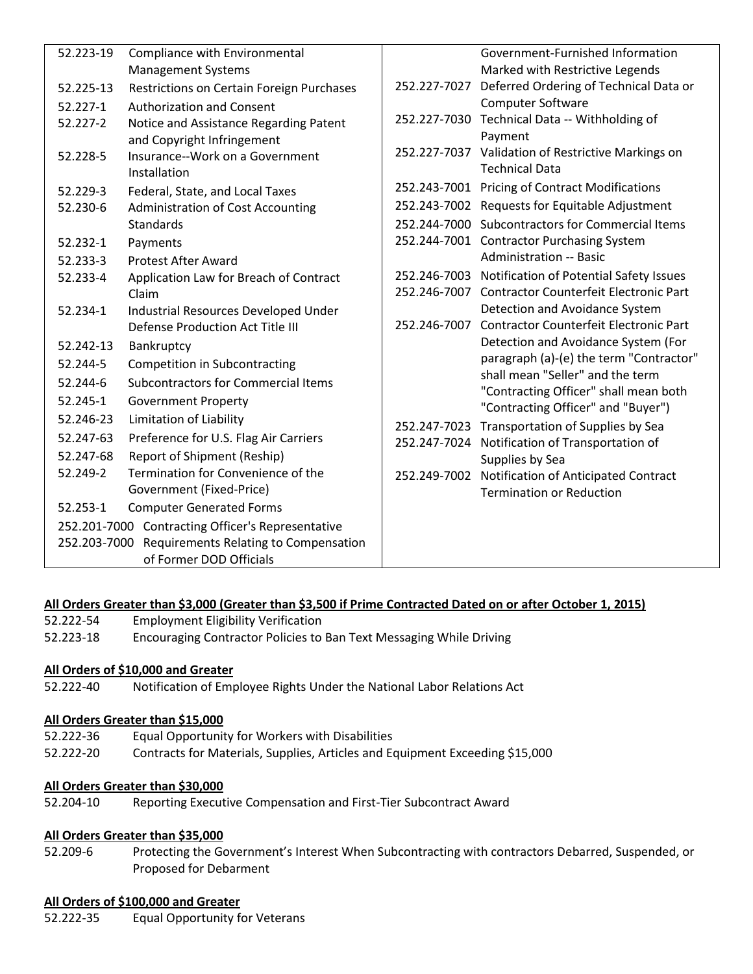| 52.223-19                                         | Compliance with Environmental              |                              | Government-Furnished Information                                            |
|---------------------------------------------------|--------------------------------------------|------------------------------|-----------------------------------------------------------------------------|
|                                                   | <b>Management Systems</b>                  |                              | Marked with Restrictive Legends                                             |
| 52.225-13                                         | Restrictions on Certain Foreign Purchases  | 252.227-7027                 | Deferred Ordering of Technical Data or                                      |
| 52.227-1                                          | <b>Authorization and Consent</b>           |                              | Computer Software                                                           |
| 52.227-2                                          | Notice and Assistance Regarding Patent     | 252.227-7030                 | Technical Data -- Withholding of                                            |
|                                                   | and Copyright Infringement                 |                              | Payment                                                                     |
| 52.228-5                                          | Insurance--Work on a Government            | 252.227-7037                 | Validation of Restrictive Markings on                                       |
|                                                   | Installation                               |                              | <b>Technical Data</b>                                                       |
| 52.229-3                                          | Federal, State, and Local Taxes            |                              | 252.243-7001 Pricing of Contract Modifications                              |
| 52.230-6                                          | <b>Administration of Cost Accounting</b>   |                              | 252.243-7002 Requests for Equitable Adjustment                              |
|                                                   | <b>Standards</b>                           |                              | 252.244-7000 Subcontractors for Commercial Items                            |
| 52.232-1                                          | Payments                                   |                              | 252.244-7001 Contractor Purchasing System                                   |
| 52.233-3                                          | <b>Protest After Award</b>                 |                              | <b>Administration -- Basic</b>                                              |
| 52.233-4                                          | Application Law for Breach of Contract     | 252.246-7003                 | Notification of Potential Safety Issues                                     |
|                                                   | Claim                                      |                              | 252.246-7007 Contractor Counterfeit Electronic Part                         |
| 52.234-1                                          | Industrial Resources Developed Under       |                              | Detection and Avoidance System                                              |
|                                                   | Defense Production Act Title III           | 252.246-7007                 | <b>Contractor Counterfeit Electronic Part</b>                               |
| 52.242-13                                         | Bankruptcy                                 |                              | Detection and Avoidance System (For                                         |
| 52.244-5                                          | <b>Competition in Subcontracting</b>       |                              | paragraph (a)-(e) the term "Contractor"                                     |
| 52.244-6                                          | <b>Subcontractors for Commercial Items</b> |                              | shall mean "Seller" and the term                                            |
| 52.245-1                                          | <b>Government Property</b>                 |                              | "Contracting Officer" shall mean both<br>"Contracting Officer" and "Buyer") |
| 52.246-23                                         | Limitation of Liability                    |                              |                                                                             |
| 52.247-63                                         | Preference for U.S. Flag Air Carriers      | 252.247-7023<br>252.247-7024 | Transportation of Supplies by Sea<br>Notification of Transportation of      |
| 52.247-68                                         | Report of Shipment (Reship)                |                              | Supplies by Sea                                                             |
| 52.249-2                                          | Termination for Convenience of the         |                              | 252.249-7002 Notification of Anticipated Contract                           |
|                                                   | Government (Fixed-Price)                   |                              | <b>Termination or Reduction</b>                                             |
| <b>Computer Generated Forms</b><br>52.253-1       |                                            |                              |                                                                             |
| 252.201-7000 Contracting Officer's Representative |                                            |                              |                                                                             |
| 252.203-7000                                      | Requirements Relating to Compensation      |                              |                                                                             |
|                                                   | of Former DOD Officials                    |                              |                                                                             |

### **All Orders Greater than \$3,000 (Greater than \$3,500 if Prime Contracted Dated on or after October 1, 2015)**

- 52.222-54 Employment Eligibility Verification
- 52.223-18 Encouraging Contractor Policies to Ban Text Messaging While Driving

## **All Orders of \$10,000 and Greater**

52.222-40 Notification of Employee Rights Under the National Labor Relations Act

### **All Orders Greater than \$15,000**

- 52.222-36 Equal Opportunity for Workers with Disabilities
- 52.222-20 Contracts for Materials, Supplies, Articles and Equipment Exceeding \$15,000

### **All Orders Greater than \$30,000**

52.204-10 Reporting Executive Compensation and First-Tier Subcontract Award

### **All Orders Greater than \$35,000**

52.209-6 Protecting the Government's Interest When Subcontracting with contractors Debarred, Suspended, or Proposed for Debarment

## **All Orders of \$100,000 and Greater**

52.222-35 Equal Opportunity for Veterans